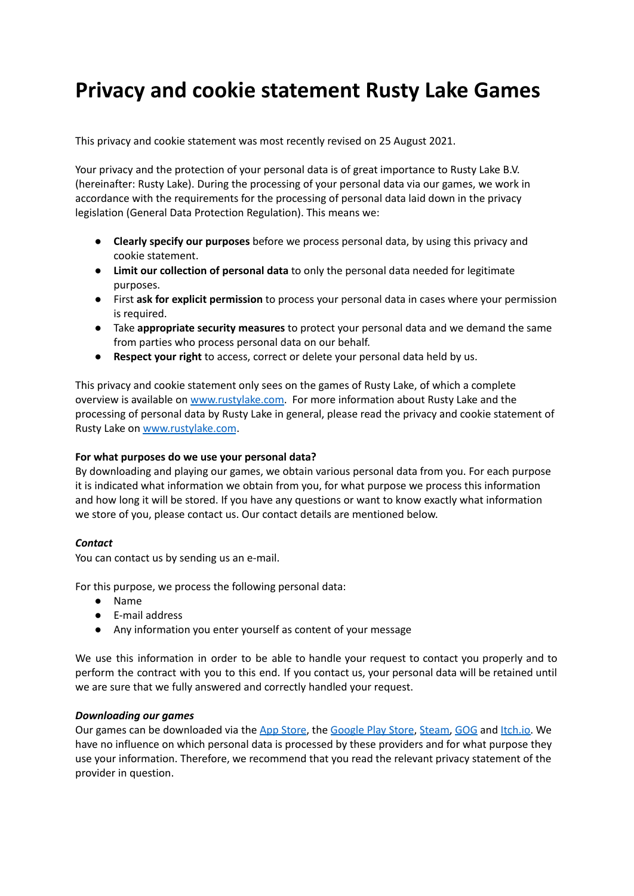# **Privacy and cookie statement Rusty Lake Games**

This privacy and cookie statement was most recently revised on 25 August 2021.

Your privacy and the protection of your personal data is of great importance to Rusty Lake B.V. (hereinafter: Rusty Lake). During the processing of your personal data via our games, we work in accordance with the requirements for the processing of personal data laid down in the privacy legislation (General Data Protection Regulation). This means we:

- **● Clearly specify our purposes** before we process personal data, by using this privacy and cookie statement.
- **● Limit our collection of personal data** to only the personal data needed for legitimate purposes.
- **●** First **ask for explicit permission** to process your personal data in cases where your permission is required.
- **●** Take **appropriate security measures** to protect your personal data and we demand the same from parties who process personal data on our behalf.
- **● Respect your right** to access, correct or delete your personal data held by us.

This privacy and cookie statement only sees on the games of Rusty Lake, of which a complete overview is available on [www.rustylake.com](http://www.rustylake.com). For more information about Rusty Lake and the processing of personal data by Rusty Lake in general, please read the privacy and cookie statement of Rusty Lake on [www.rustylake.com](http://www.rustylake.com).

### **For what purposes do we use your personal data?**

By downloading and playing our games, we obtain various personal data from you. For each purpose it is indicated what information we obtain from you, for what purpose we process this information and how long it will be stored. If you have any questions or want to know exactly what information we store of you, please contact us. Our contact details are mentioned below.

### *Contact*

You can contact us by sending us an e-mail.

For this purpose, we process the following personal data:

- Name
- E-mail address
- Any information you enter yourself as content of your message

We use this information in order to be able to handle your request to contact you properly and to perform the contract with you to this end. If you contact us, your personal data will be retained until we are sure that we fully answered and correctly handled your request.

### *Downloading our games*

Our games can be downloaded via the App [Store](https://www.apple.com/legal/privacy/en-ww/), the [Google](https://policies.google.com/privacy?hl=en) Play Store, [Steam,](https://store.steampowered.com/privacy_agreement/english/?l=english) [GOG](https://support.gog.com/hc/en-us/articles/212632109-Privacy-Policy?_ga=2.195370924.1854653133.1629904412-1058183345.1629904412&product=gog) and [Itch.io.](https://itch.io/docs/legal/privacy-policy) We have no influence on which personal data is processed by these providers and for what purpose they use your information. Therefore, we recommend that you read the relevant privacy statement of the provider in question.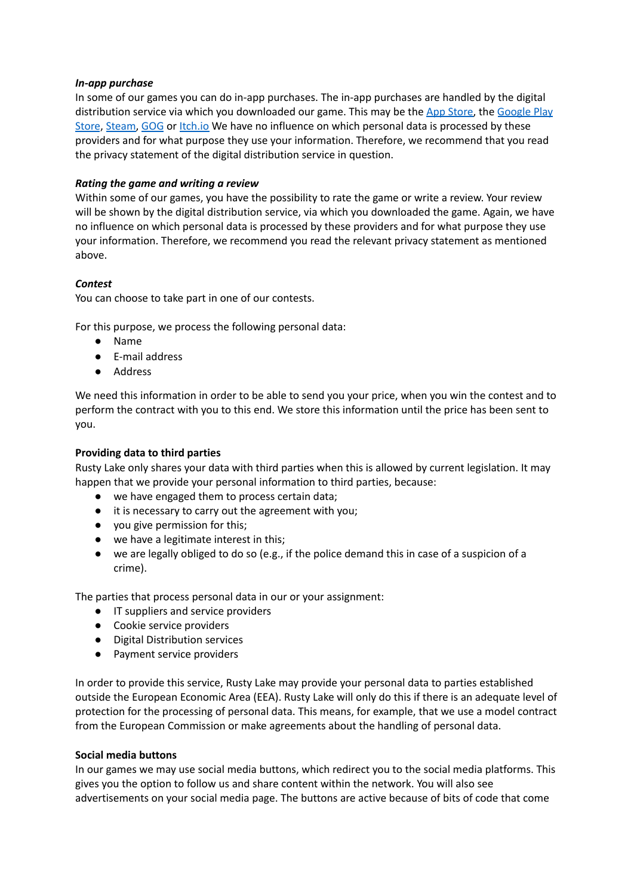### *In-app purchase*

In some of our games you can do in-app purchases. The in-app purchases are handled by the digital distribution service via which you downloaded our game. This may be the App [Store,](https://www.apple.com/legal/privacy/en-ww/) the [Google](https://policies.google.com/privacy?hl=en) Play [Store](https://policies.google.com/privacy?hl=en), [Steam,](https://store.steampowered.com/privacy_agreement/english/?l=english) [GOG](https://support.gog.com/hc/en-us/articles/212632109-Privacy-Policy?_ga=2.195370924.1854653133.1629904412-1058183345.1629904412&product=gog) or [Itch.io](https://itch.io/docs/legal/privacy-policy) We have no influence on which personal data is processed by these providers and for what purpose they use your information. Therefore, we recommend that you read the privacy statement of the digital distribution service in question.

# *Rating the game and writing a review*

Within some of our games, you have the possibility to rate the game or write a review. Your review will be shown by the digital distribution service, via which you downloaded the game. Again, we have no influence on which personal data is processed by these providers and for what purpose they use your information. Therefore, we recommend you read the relevant privacy statement as mentioned above.

### *Contest*

You can choose to take part in one of our contests.

For this purpose, we process the following personal data:

- Name
- E-mail address
- Address

We need this information in order to be able to send you your price, when you win the contest and to perform the contract with you to this end. We store this information until the price has been sent to you.

## **Providing data to third parties**

Rusty Lake only shares your data with third parties when this is allowed by current legislation. It may happen that we provide your personal information to third parties, because:

- we have engaged them to process certain data;
- it is necessary to carry out the agreement with you;
- you give permission for this;
- we have a legitimate interest in this;
- we are legally obliged to do so (e.g., if the police demand this in case of a suspicion of a crime).

The parties that process personal data in our or your assignment:

- IT suppliers and service providers
- Cookie service providers
- Digital Distribution services
- Payment service providers

In order to provide this service, Rusty Lake may provide your personal data to parties established outside the European Economic Area (EEA). Rusty Lake will only do this if there is an adequate level of protection for the processing of personal data. This means, for example, that we use a model contract from the European Commission or make agreements about the handling of personal data.

### **Social media buttons**

In our games we may use social media buttons, which redirect you to the social media platforms. This gives you the option to follow us and share content within the network. You will also see advertisements on your social media page. The buttons are active because of bits of code that come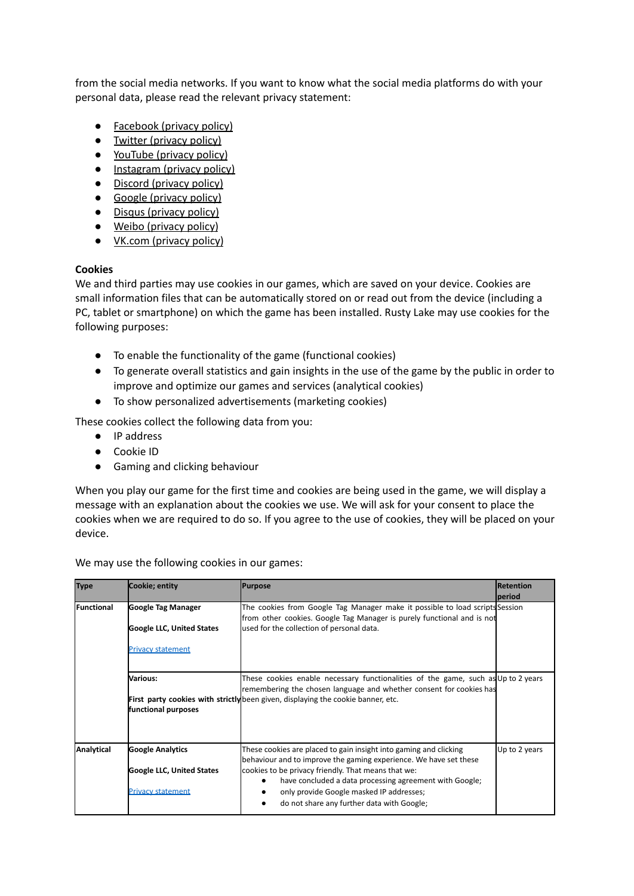from the social media networks. If you want to know what the social media platforms do with your personal data, please read the relevant privacy statement:

- [Facebook](https://www.facebook.com/policy.php) (privacy policy)
- Twitter [\(privacy](https://twitter.com/en/privacy) policy)
- [YouTube](https://policies.google.com/privacy?hl=en-US) (privacy policy)
- [Instagram](https://help.instagram.com/519522125107875) (privacy policy)
- Discord [\(privacy](https://discord.com/privacy) policy)
- Google [\(privacy](https://policies.google.com/privacy?hl=en-US) policy)
- Disqus [\(privacy](https://help.disqus.com/en/articles/1717103-disqus-privacy-policy) policy)
- Weibo [\(privacy](https://weibo.com/ttarticle/p/show?id=2309404296514129241275) policy)
- VK.com [\(privacy](https://m.vk.com/privacy?api_view=1&cc=CN&lang=en) policy)

#### **Cookies**

We and third parties may use cookies in our games, which are saved on your device. Cookies are small information files that can be automatically stored on or read out from the device (including a PC, tablet or smartphone) on which the game has been installed. Rusty Lake may use cookies for the following purposes:

- To enable the functionality of the game (functional cookies)
- To generate overall statistics and gain insights in the use of the game by the public in order to improve and optimize our games and services (analytical cookies)
- To show personalized advertisements (marketing cookies)

These cookies collect the following data from you:

- IP address
- Cookie ID
- Gaming and clicking behaviour

When you play our game for the first time and cookies are being used in the game, we will display a message with an explanation about the cookies we use. We will ask for your consent to place the cookies when we are required to do so. If you agree to the use of cookies, they will be placed on your device.

We may use the following cookies in our games:

| <b>Type</b>        | Cookie; entity                   | <b>Purpose</b>                                                                                                                                           | <b>Retention</b> |
|--------------------|----------------------------------|----------------------------------------------------------------------------------------------------------------------------------------------------------|------------------|
|                    |                                  |                                                                                                                                                          | period           |
| <b>IFunctional</b> | Google Tag Manager               | The cookies from Google Tag Manager make it possible to load scripts Session<br>from other cookies. Google Tag Manager is purely functional and is not   |                  |
|                    | <b>Google LLC, United States</b> | used for the collection of personal data.                                                                                                                |                  |
|                    | <b>Privacy statement</b>         |                                                                                                                                                          |                  |
|                    | lVarious:                        | These cookies enable necessary functionalities of the game, such as Up to 2 years<br>remembering the chosen language and whether consent for cookies has |                  |
|                    | functional purposes              | First party cookies with strictly been given, displaying the cookie banner, etc.                                                                         |                  |
| Analytical         | <b>Google Analytics</b>          | These cookies are placed to gain insight into gaming and clicking<br>behaviour and to improve the gaming experience. We have set these                   | Up to 2 years    |
|                    | Google LLC, United States        | cookies to be privacy friendly. That means that we:<br>have concluded a data processing agreement with Google;                                           |                  |
|                    | <b>Privacy statement</b>         | only provide Google masked IP addresses;<br>do not share any further data with Google;                                                                   |                  |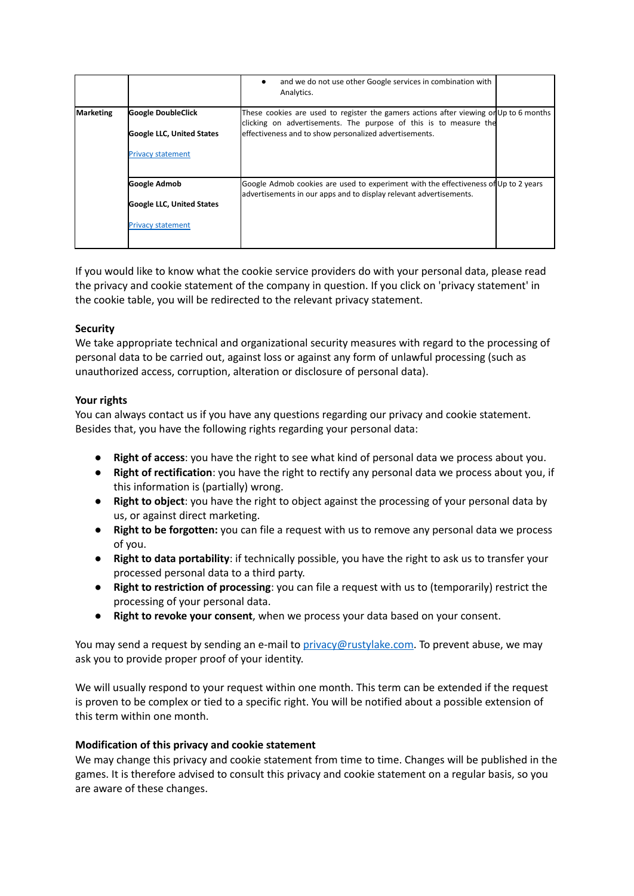|           |                                  | and we do not use other Google services in combination with<br>Analytics.                                                                                 |
|-----------|----------------------------------|-----------------------------------------------------------------------------------------------------------------------------------------------------------|
| Marketing | <b>Google DoubleClick</b>        | These cookies are used to register the gamers actions after viewing on Up to 6 months                                                                     |
|           | <b>Google LLC, United States</b> | clicking on advertisements. The purpose of this is to measure the<br>effectiveness and to show personalized advertisements.                               |
|           | <b>Privacy statement</b>         |                                                                                                                                                           |
|           | Google Admob                     | Google Admob cookies are used to experiment with the effectiveness of Up to 2 years<br>advertisements in our apps and to display relevant advertisements. |
|           | <b>Google LLC, United States</b> |                                                                                                                                                           |
|           | <b>Privacy statement</b>         |                                                                                                                                                           |

If you would like to know what the cookie service providers do with your personal data, please read the privacy and cookie statement of the company in question. If you click on 'privacy statement' in the cookie table, you will be redirected to the relevant privacy statement.

## **Security**

We take appropriate technical and organizational security measures with regard to the processing of personal data to be carried out, against loss or against any form of unlawful processing (such as unauthorized access, corruption, alteration or disclosure of personal data).

## **Your rights**

You can always contact us if you have any questions regarding our privacy and cookie statement. Besides that, you have the following rights regarding your personal data:

- **Right of access**: you have the right to see what kind of personal data we process about you.
- **Right of rectification**: you have the right to rectify any personal data we process about you, if this information is (partially) wrong.
- **Right to object**: you have the right to object against the processing of your personal data by us, or against direct marketing.
- **Right to be forgotten:** you can file a request with us to remove any personal data we process of you.
- **Right to data portability**: if technically possible, you have the right to ask us to transfer your processed personal data to a third party.
- **Right to restriction of processing**: you can file a request with us to (temporarily) restrict the processing of your personal data.
- **Right to revoke your consent**, when we process your data based on your consent.

You may send a request by sending an e-mail to [privacy@rustylake.com.](mailto:privacy@rustylake.com) To prevent abuse, we may ask you to provide proper proof of your identity.

We will usually respond to your request within one month. This term can be extended if the request is proven to be complex or tied to a specific right. You will be notified about a possible extension of this term within one month.

### **Modification of this privacy and cookie statement**

We may change this privacy and cookie statement from time to time. Changes will be published in the games. It is therefore advised to consult this privacy and cookie statement on a regular basis, so you are aware of these changes.